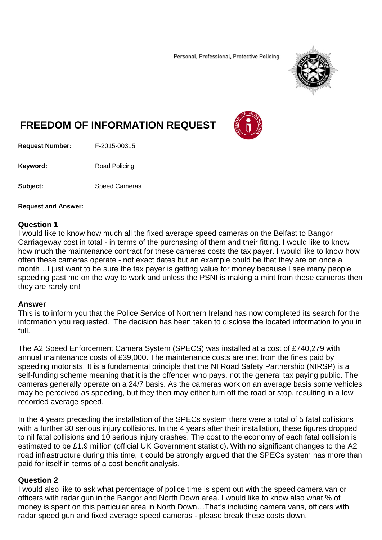Personal, Professional, Protective Policing



# **FREEDOM OF INFORMATION REQUEST**



**Request Number:** F-2015-00315

Keyword: Road Policing

**Subject:** Speed Cameras

#### **Request and Answer:**

## **Question 1**

I would like to know how much all the fixed average speed cameras on the Belfast to Bangor Carriageway cost in total - in terms of the purchasing of them and their fitting. I would like to know how much the maintenance contract for these cameras costs the tax payer. I would like to know how often these cameras operate - not exact dates but an example could be that they are on once a month…I just want to be sure the tax payer is getting value for money because I see many people speeding past me on the way to work and unless the PSNI is making a mint from these cameras then they are rarely on!

#### **Answer**

This is to inform you that the Police Service of Northern Ireland has now completed its search for the information you requested. The decision has been taken to disclose the located information to you in full.

The A2 Speed Enforcement Camera System (SPECS) was installed at a cost of £740,279 with annual maintenance costs of £39,000. The maintenance costs are met from the fines paid by speeding motorists. It is a fundamental principle that the NI Road Safety Partnership (NIRSP) is a self-funding scheme meaning that it is the offender who pays, not the general tax paying public. The cameras generally operate on a 24/7 basis. As the cameras work on an average basis some vehicles may be perceived as speeding, but they then may either turn off the road or stop, resulting in a low recorded average speed.

In the 4 years preceding the installation of the SPECs system there were a total of 5 fatal collisions with a further 30 serious injury collisions. In the 4 years after their installation, these figures dropped to nil fatal collisions and 10 serious injury crashes. The cost to the economy of each fatal collision is estimated to be £1.9 million (official UK Government statistic). With no significant changes to the A2 road infrastructure during this time, it could be strongly argued that the SPECs system has more than paid for itself in terms of a cost benefit analysis.

# **Question 2**

I would also like to ask what percentage of police time is spent out with the speed camera van or officers with radar gun in the Bangor and North Down area. I would like to know also what % of money is spent on this particular area in North Down…That's including camera vans, officers with radar speed gun and fixed average speed cameras - please break these costs down.